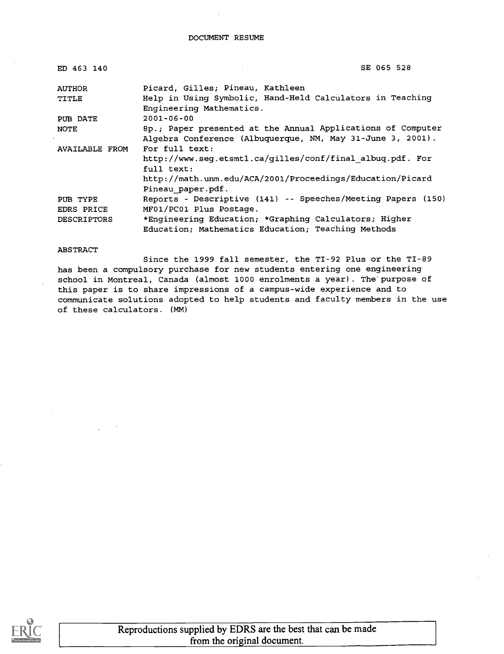| ED 463 140                    | SE 065 528                                                                                                                                                                    |  |  |
|-------------------------------|-------------------------------------------------------------------------------------------------------------------------------------------------------------------------------|--|--|
| AUTHOR                        | Picard, Gilles; Pineau, Kathleen                                                                                                                                              |  |  |
| TITLE                         | Help in Using Symbolic, Hand-Held Calculators in Teaching<br>Engineering Mathematics.                                                                                         |  |  |
| PUB DATE                      | $2001 - 06 - 00$                                                                                                                                                              |  |  |
| NOTE                          | 8p.; Paper presented at the Annual Applications of Computer<br>Algebra Conference (Albuquerque, NM, May 31-June 3, 2001).                                                     |  |  |
| <b>AVAILABLE FROM</b>         | For full text:<br>http://www.seg.etsmtl.ca/gilles/conf/final albuq.pdf. For<br>$full$ text:<br>http://math.unm.edu/ACA/2001/Proceedings/Education/Picard<br>Pineau paper.pdf. |  |  |
| PUB TYPE<br><b>EDRS PRICE</b> | Reports - Descriptive (141) -- Speeches/Meeting Papers (150)<br>MF01/PC01 Plus Postage.                                                                                       |  |  |
| <b>DESCRIPTORS</b>            | *Engineering Education; *Graphing Calculators; Higher<br>Education; Mathematics Education; Teaching Methods                                                                   |  |  |

#### ABSTRACT

Since the 1999 fall semester, the TI-92 Plus or the TI-89 has been a compulsory purchase for new students entering one engineering school in Montreal, Canada (almost 1000 enrolments a year). The'purpose of this paper is to share impressions of a campus-wide experience and to communicate solutions adopted to help students and faculty members in the use of these calculators. (MM)

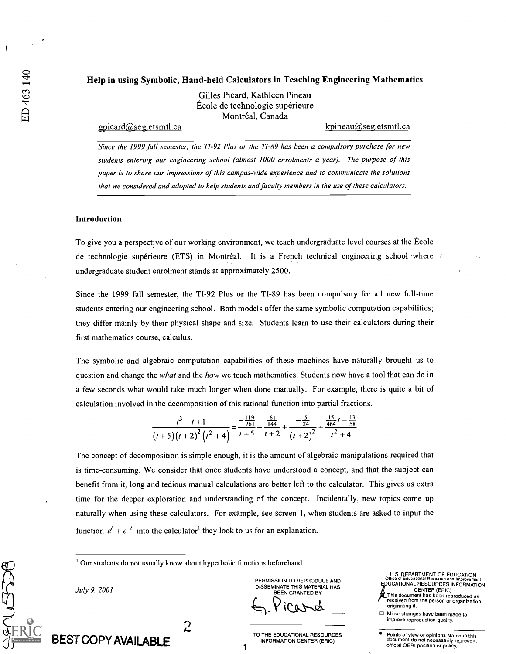## Help in using Symbolic, Hand-held Calculators in Teaching Engineering Mathematics

Gilles Picard, Kathleen Pineau tcole de technologie supérieure Montréal, Canada

qpicard@seg.etsmtl.ca koineau@seg.etsmtl.ca

Since the 1999 fall semester, the TI-92 Plus or the TI-89 has been a compulsory purchase for new students entering our engineering school (almost 1000 enrolments a year). The purpose of this paper is to share our impressions of this campus-wide experience and to communicate the solutions that we considered and adopted to help students and faculty members in the use of these calculators.

## Introduction

To give you a perspective of our working environment, we teach undergraduate level courses at the Ecole de technologie supérieure (ETS) in Montréal. It is a French technical engineering school where undergraduate student enrolment stands at approximately 2500.

Since the 1999 fall semester, the TI-92 Plus or the TI-89 has been compulsory for all new full-time students entering our engineering school. Both models offer the same symbolic computation capabilities; they differ mainly by their physical shape and size. Students learn to use their calculators during their first mathematics course, calculus.

The symbolic and algebraic computation capabilities of these machines have naturally brought us to question and change the *what* and the *how* we teach mathematics. Students now have a tool that can do in a few seconds what would take much longer when done manually. For example, there is quite a bit of calculation involved in the decomposition of this rational function into partial fractions.

$$
\frac{t^3 - t + 1}{(t+5)(t+2)^2 (t^2+4)} = \frac{-\frac{119}{261}}{t+5} + \frac{\frac{61}{144}}{t+2} + \frac{-\frac{5}{24}}{(t+2)^2} + \frac{\frac{15}{464}t - \frac{13}{58}}{t^2+4}
$$

The concept of decomposition is simple enough, it is the amount of algebraic manipulations required that is time-consuming. We consider that once students have understood a concept, and that the subject can benefit from it, long and tedious manual calculations are better left to the calculator. This gives us extra time for the deeper exploration and understanding of the concept. Incidentally, new topics come up naturally when using these calculators. For example, see screen 1, when students are asked to input the function  $e^{t} + e^{-t}$  into the calculator<sup>1</sup> they look to us for an explanation.

1

<sup>1</sup> Our students do not usually know about hyperbolic functions beforehand.

 $\overline{2}$ 

July 9, 2001

BEST COPY AVAILABLE

DISSEMINATE THIS MATERIAL HAS BEEN GRANTED BY r1)

TO THE EDUCATIONAL RESOURCES INFORMATION CENTER (ERIC)

PERMISSION TO REPRODUCE AND

U.S. DEPARTMENT OF EDUCATION Office of Educational Research and Improvement EDUCATIONAL RESOURCES INFORMATION<br>CENTER (ERIC)<br>This document has been reproduced as<br>received from the person or organization originating it.

Minor changes have been made to improve reproduction quality.

Points of view or opinions stated in this document do not necessarily represent official OERI position or policy.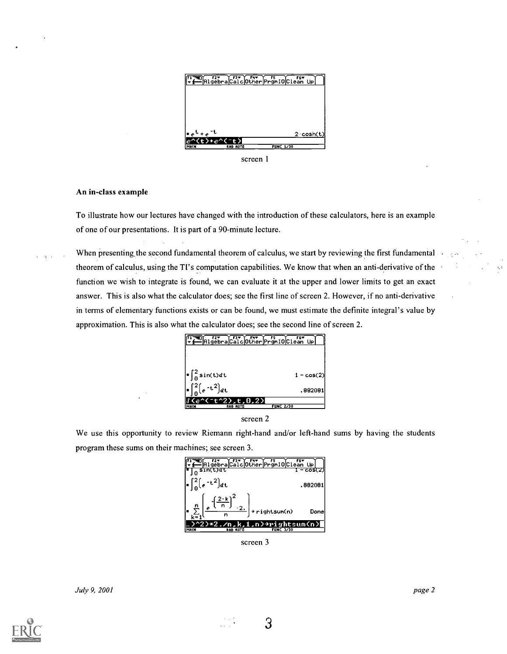

screen 1

#### An in-class example

To illustrate how our lectures have changed with the introduction of these calculators, here is an example of one of our presentations. It is part of a 90-minute lecture.

When presenting the second fundamental theorem of calculus, we start by reviewing the first fundamental theorem of calculus, using the TI's computation capabilities. We know that when an anti-derivative of the function we wish to integrate is found, we can evaluate it at the upper and lower limits to get an exact answer. This is also what the calculator does; see the first line of screen 2. However, if no anti-derivative in terms of elementary functions exists or can be found, we must estimate the definite integral's value by approximation. This is also what the calculator does; see the second line of screen 2.





We use this opportunity to review Riemann right-hand and/or left-hand sums by having the students program these sums on their machines; see screen 3.



screen 3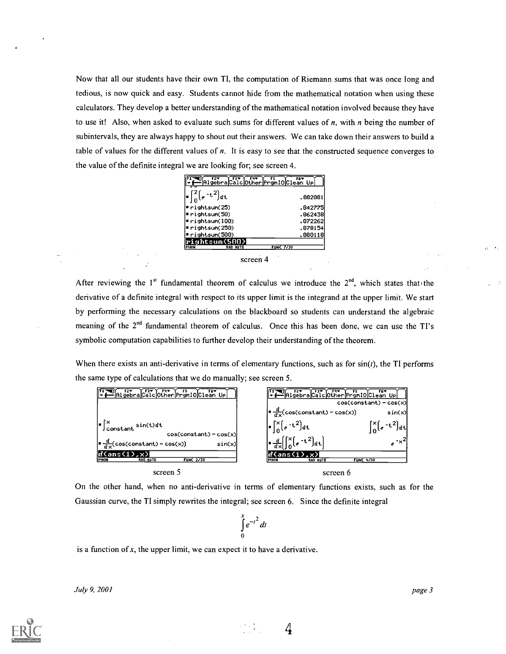Now that all our students have their own TI, the computation of Riemann sums that was once long and tedious, is now quick and easy. Students cannot hide from the mathematical notation when using these calculators. They develop a better understanding of the mathematical notation involved because they have to use it! Also, when asked to evaluate such sums for different values of  $n$ , with  $n$  being the number of subintervals, they are always happy to shout out their answers. We can take down their answers to build a table of values for the different values of  $n$ . It is easy to see that the constructed sequence converges to the value of the definite integral we are looking for; see screen 4.

| Algebra Calc Other Promio Clean Up<br>$F6 =$ |               |                  |           |  |
|----------------------------------------------|---------------|------------------|-----------|--|
|                                              |               |                  | .882081   |  |
| ∣∎rightsum(25)                               |               |                  | . 8427751 |  |
| ■rightsum(50)                                |               |                  | .862438   |  |
| ■ rightsum(100)                              |               |                  | .872262   |  |
| ■ rightsum(250)                              |               |                  | .878154   |  |
| ■ rightsum(500)                              |               |                  | .880118   |  |
|                                              | rightsum(500) |                  |           |  |
| MAIN                                         | RAD AUTO      | <b>FUNC 7/30</b> |           |  |
|                                              |               |                  |           |  |
| screer                                       |               |                  |           |  |



When there exists an anti-derivative in terms of elementary functions, such as for  $sin(t)$ , the TI performs the same type of calculations that we do manually; see screen 5.



On the other hand, when no anti-derivative in terms of elementary functions exists, such as for the Gaussian curve, the TI simply rewrites the integral; see screen 6. Since the definite integral

$$
\int\limits_{0}^{x}e^{-t^2}dt
$$

4

is a function of  $x$ , the upper limit, we can expect it to have a derivative.

July 9, 2001 **page 3** page 3

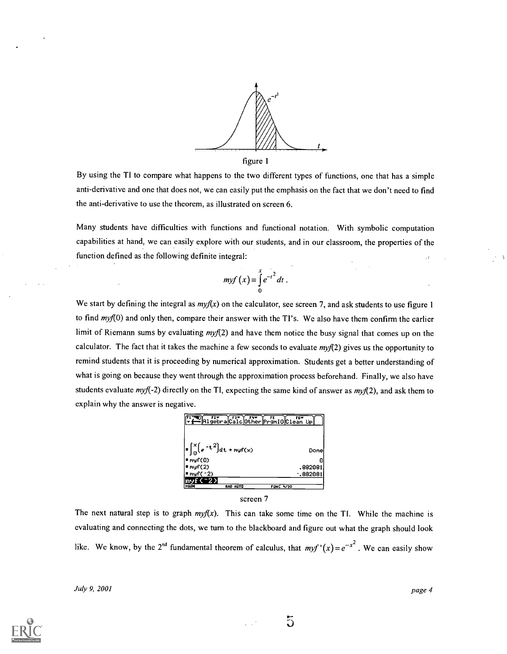

figure 1

By using the TI to compare what happens to the two different types of functions, one that has a simple anti-derivative and one that does not, we can easily put the emphasis on the fact that we don't need to find the anti-derivative to use the theorem, as illustrated on screen 6.

Many students have difficulties with functions and functional notation. With symbolic computation capabilities at hand, we can easily explore with our students, and in our classroom, the properties of the function defined as the following definite integral:

$$
myf(x) = \int_{0}^{x} e^{-t^2} dt.
$$

We start by defining the integral as  $myf(x)$  on the calculator, see screen 7, and ask students to use figure 1 to find  $myf(0)$  and only then, compare their answer with the TI's. We also have them confirm the earlier limit of Riemann sums by evaluating  $myf(2)$  and have them notice the busy signal that comes up on the calculator. The fact that it takes the machine a few seconds to evaluate  $\frac{myf(2)}{g}$  gives us the opportunity to remind students that it is proceeding by numerical approximation. Students get a better understanding of what is going on because they went through the approximation process beforehand. Finally, we also have students evaluate myf(-2) directly on the TI, expecting the same kind of answer as  $myf(2)$ , and ask them to explain why the answer is negative.



The next natural step is to graph  $myf(x)$ . This can take some time on the TI. While the machine is evaluating and connecting the dots, we turn to the blackboard and figure out what the graph should look like. We know, by the 2<sup>nd</sup> fundamental theorem of calculus, that  $myf'(x) = e^{-x^2}$ . We can easily show



 $\ddot{\circ}$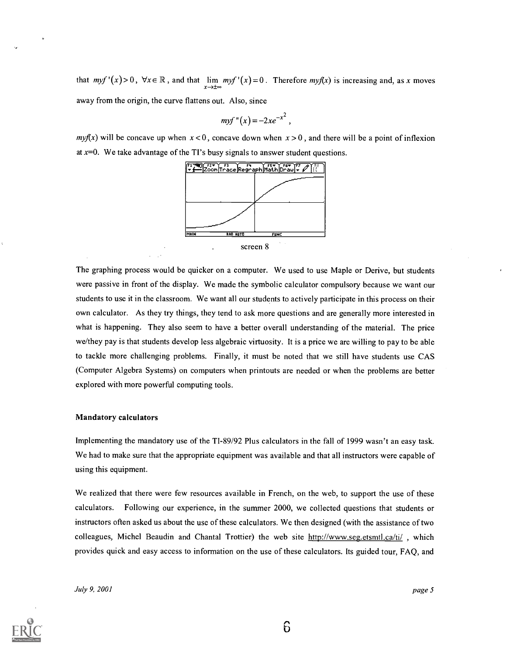that  $myf'(x) > 0$ ,  $\forall x \in \mathbb{R}$ , and that  $\lim myf'(x) = 0$ . Therefore  $myf(x)$  is increasing and, as x moves away from the origin, the curve flattens out. Also, since

$$
myf''(x) = -2xe^{-x^2},
$$

 $myf(x)$  will be concave up when  $x < 0$ , concave down when  $x > 0$ , and there will be a point of inflexion at  $x=0$ . We take advantage of the TI's busy signals to answer student questions.



The graphing process would be quicker on a computer. We used to use Maple or Derive, but students were passive in front of the display. We made the symbolic calculator compulsory because we want our students to use it in the classroom. We want all our students to actively participate in this process on their own calculator. As they try things, they tend to ask more questions and are generally more interested in what is happening. They also seem to have a better overall understanding of the material. The price we/they pay is that students develop less algebraic virtuosity. It is a price we are willing to pay to be able to tackle more challenging problems. Finally, it must be noted that we still have students use CAS (Computer Algebra Systems) on computers when printouts are needed or when the problems are better explored with more powerful computing tools.

## Mandatory calculators

Implementing the mandatory use of the TI-89/92 Plus calculators in the fall of 1999 wasn't an easy task. We had to make sure that the appropriate equipment was available and that all instructors were capable of using this equipment.

We realized that there were few resources available in French, on the web, to support the use of these calculators. Following our experience, in the summer 2000, we collected questions that students or instructors often asked us about the use of these calculators. We then designed (with the assistance of two colleagues, Michel Beaudin and Chantal Trottier) the web site http://www.seg.etsmtl.ca/ti/ , which provides quick and easy access to information on the use of these calculators. Its guided tour, FAQ, and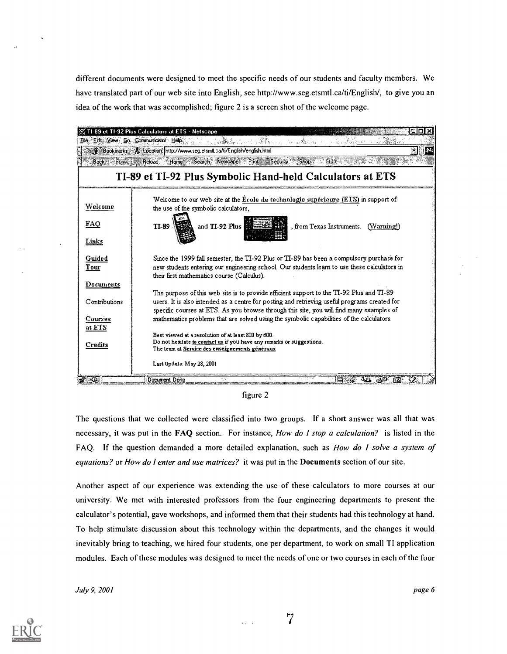different documents were designed to meet the specific needs of our students and faculty members. We have translated part of our web site into English, see http://www.seg.etsmtl.ca/ti/English/, to give you an idea of the work that was accomplished; figure 2 is a screen shot of the welcome page.

|                   | Bookmarks Re Location http://www.seg.etsmtl.ca/ti/English/english.html                                                                     |
|-------------------|--------------------------------------------------------------------------------------------------------------------------------------------|
| Back Fourard      | Reload, Home Search Netscape Finit Security, Shop                                                                                          |
|                   | TI-89 et TI-92 Plus Symbolic Hand-held Calculators at ETS                                                                                  |
|                   | Welcome to our web site at the Ecole de technologie supérieure (ETS) in support of                                                         |
| <b>Welcome</b>    | the use of the symbolic calculators,                                                                                                       |
| FAQ               | and TI-92 Plus<br>, from Texas Instruments. (Warning!)<br><b>TI-89</b>                                                                     |
| Links             |                                                                                                                                            |
| Guided            | Since the 1999 fall semester, the TI-92 Plus or TI-89 has been a compulsory purchase for                                                   |
| Tour              | new students entering our engineering school. Our students learn to use these calculators in<br>their first mathematics course (Calculus). |
| Documents         |                                                                                                                                            |
|                   | The purpose of this web site is to provide efficient support to the TI-92 Plus and TI-89                                                   |
| Contributions     | users. It is also intended as a centre for posting and retrieving useful programs created for                                              |
|                   | specific courses at ETS. As you browse through this site, you will find many examples of                                                   |
| Courses<br>at ETS | mathematics problems that are solved using the symbolic capabilities of the calculators.                                                   |
|                   | Best viewed at a resolution of at least 800 by 600.                                                                                        |
| Credits           | Do not hesitate to contact us if you have any remarks or suggestions.                                                                      |
|                   | The team at Service des enseignements généraux                                                                                             |
|                   | Last update: May 28, 2001                                                                                                                  |

figure 2

The questions that we collected were classified into two groups. If a short answer was all that was necessary, it was put in the FAQ section. For instance, How do I stop a calculation? is listed in the FAQ. If the question demanded a more detailed explanation, such as How do I solve a system of equations? or How do I enter and use matrices? it was put in the Documents section of our site.

Another aspect of our experience was extending the use of these calculators to more courses at our university. We met with interested professors from the four engineering departments to present the calculator's potential, gave workshops, and informed them that their students had this technology at hand. To help stimulate discussion about this technology within the departments, and the changes it would inevitably bring to teaching, we hired four students, one per department, to work on small TI application modules. Each of these modules was designed to meet the needs of one or two courses in each of the four



 $\overline{7}$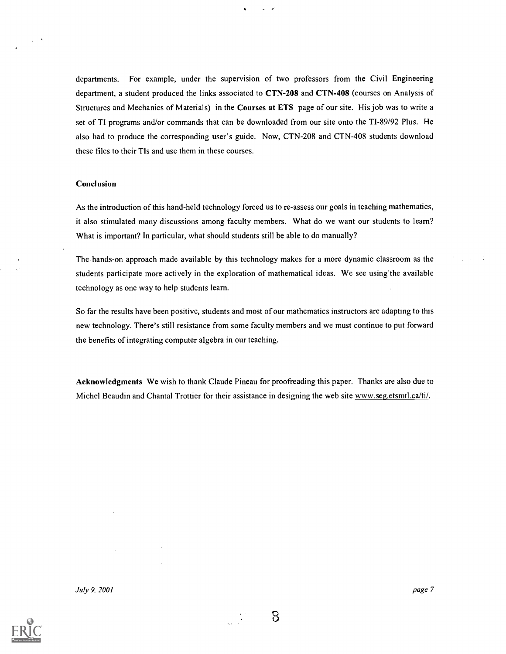departments. For example, under the supervision of two professors from the Civil Engineering department, a student produced the links associated to CTN-208 and CTN-408 (courses on Analysis of Structures and Mechanics of Materials) in the Courses at ETS page of our site. His job was to write a set of TI programs and/or commands that can be downloaded from our site onto the TI-89/92 Plus. He also had to produce the corresponding user's guide. Now, CTN-208 and CTN-408 students download these files to their Tls and use them in these courses.

### Conclusion

As the introduction of this hand-held technology forced us to re-assess our goals in teaching mathematics, it also stimulated many discussions among faculty members. What do we want our students to learn? What is important? In particular, what should students still be able to do manually?

The hands-on approach made available by this technology makes for a more dynamic classroom as the students participate more actively in the exploration of mathematical ideas. We see using'the available technology as one way to help students learn.

So far the results have been positive, students and most of our mathematics instructors are adapting to this new technology. There's still resistance from some faculty members and we must continue to put forward the benefits of integrating computer algebra in our teaching.

Acknowledgments We wish to thank Claude Pineau for proofreading this paper. Thanks are also due to Michel Beaudin and Chantal Trottier for their assistance in designing the web site www.seg.etsmtl.ca/ti/.

 $\overline{8}$ 

July 9, 2001 page 7